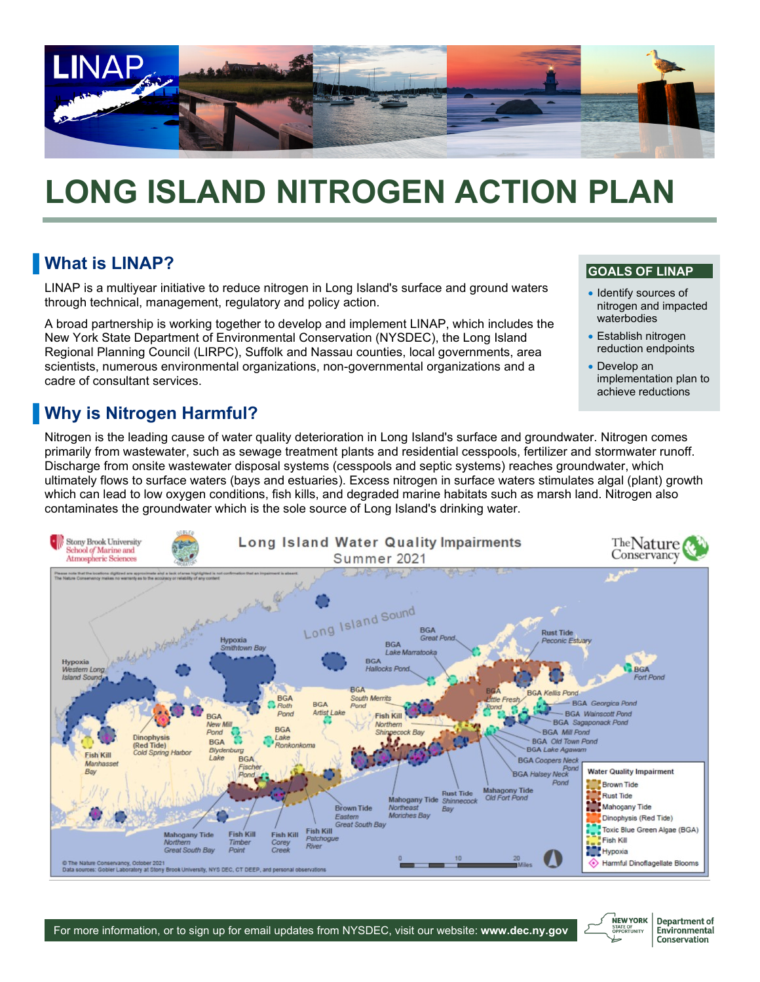

# **LONG ISLAND NITROGEN ACTION PLAN**

## **No. 8 What is LINAP?**

LINAP is a multiyear initiative to reduce nitrogen in Long Island's surface and ground waters through technical, management, regulatory and policy action.

A broad partnership is working together to develop and implement LINAP, which includes the New York State Department of Environmental Conservation (NYSDEC), the Long Island Regional Planning Council (LIRPC), Suffolk and Nassau counties, local governments, area scientists, numerous environmental organizations, non-governmental organizations and a cadre of consultant services.

## **Notable 1 Why is Nitrogen Harmful?**

Nitrogen is the leading cause of water quality deterioration in Long Island's surface and groundwater. Nitrogen comes primarily from wastewater, such as sewage treatment plants and residential cesspools, fertilizer and stormwater runoff. Discharge from onsite wastewater disposal systems (cesspools and septic systems) reaches groundwater, which ultimately flows to surface waters (bays and estuaries). Excess nitrogen in surface waters stimulates algal (plant) growth which can lead to low oxygen conditions, fish kills, and degraded marine habitats such as marsh land. Nitrogen also contaminates the groundwater which is the sole source of Long Island's drinking water.



## **GOALS OF LINAP**

- Identify sources of nitrogen and impacted waterbodies
- Establish nitrogen reduction endpoints
- Develop an implementation plan to achieve reductions